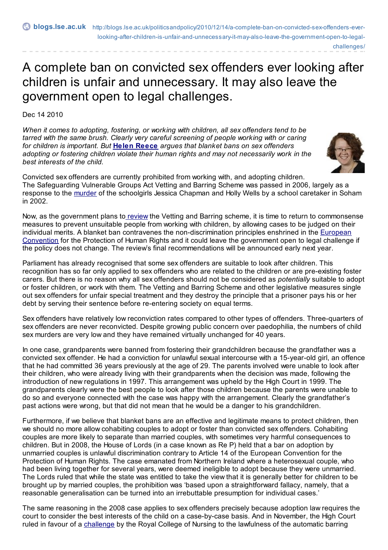challenges/

## A complete ban on convicted sex offenders ever looking after children is unfair and unnecessary. It may also leave the government open to legal challenges.

Dec 14 2010

*When it comes to adopting, fostering, or working with children, all sex offenders tend to be tarred with the same brush. Clearly very careful screening of people working with or caring for children is important. But* **Helen [Reece](http://blogs.lse.ac.uk/politicsandpolicy/contributors/#Helen_Reece)** *argues that blanket bans on sex offenders adopting or fostering children violate their human rights and may not necessarily work in the best interests of the child.*



Convicted sex offenders are currently prohibited from working with, and adopting children. The Safeguarding Vulnerable Groups Act Vetting and Barring Scheme was passed in 2006, largely as a response to the [murder](http://news.bbc.co.uk/1/hi/uk/3312551.stm) of the schoolgirls Jessica Chapman and Holly Wells by a school caretaker in Soham in 2002.

Now, as the government plans to [review](http://www.crb.homeoffice.gov.uk/faqs/vetting_and_barring_scheme.aspx) the Vetting and Barring scheme, it is time to return to commonsense measures to prevent unsuitable people from working with children, by allowing cases to be judged on their individual merits. A blanket ban contravenes the [non-discrimination](http://www.echr.coe.int/NR/rdonlyres/D5CC24A7-DC13-4318-B457-5C9014916D7A/0/ENG_CONV.pdf) principles enshrined in the European Convention for the Protection of Human Rights and it could leave the government open to legal challenge if the policy does not change. The review's final recommendations will be announced early next year.

Parliament has already recognised that some sex offenders are suitable to look after children. This recognition has so far only applied to sex offenders who are related to the children or are pre-existing foster carers. But there is no reason why all sex offenders should not be considered as *potentially* suitable to adopt or foster children, or work with them. The Vetting and Barring Scheme and other legislative measures single out sex offenders for unfair special treatment and they destroy the principle that a prisoner pays his or her debt by serving their sentence before re-entering society on equal terms.

Sex offenders have relatively low reconviction rates compared to other types of offenders. Three-quarters of sex offenders are never reconvicted. Despite growing public concern over paedophilia, the numbers of child sex murders are very low and they have remained virtually unchanged for 40 years.

In one case, grandparents were banned from fostering their grandchildren because the grandfather was a convicted sex offender. He had a conviction for unlawful sexual intercourse with a 15-year-old girl, an offence that he had committed 36 years previously at the age of 29. The parents involved were unable to look after their children, who were already living with their grandparents when the decision was made, following the introduction of new regulations in 1997. This arrangement was upheld by the High Court in 1999. The grandparents clearly were the best people to look after those children because the parents were unable to do so and everyone connected with the case was happy with the arrangement. Clearly the grandfather's past actions were wrong, but that did not mean that he would be a danger to his grandchildren.

Furthermore, if we believe that blanket bans are an effective and legitimate means to protect children, then we should no more allow cohabiting couples to adopt or foster than convicted sex offenders. Cohabiting couples are more likely to separate than married couples, with sometimes very harmful consequences to children. But in 2008, the House of Lords (in a case known as Re P) held that a bar on adoption by unmarried couples is unlawful discrimination contrary to Article 14 of the European Convention for the Protection of Human Rights. The case emanated from Northern Ireland where a heterosexual couple, who had been living together for several years, were deemed ineligible to adopt because they were unmarried. The Lords ruled that while the state was entitled to take the view that it is generally better for children to be brought up by married couples, the prohibition was 'based upon a straightforward fallacy, namely, that a reasonable generalisation can be turned into an irrebuttable presumption for individual cases.'

The same reasoning in the 2008 case applies to sex offenders precisely because adoption law requires the court to consider the best interests of the child on a case-by-case basis. And in November, the High Court ruled in favour of a [challenge](http://www.factuk.org/2010/11/high-court-rules-automatic-barring-of-nurses-unlawful/) by the Royal College of Nursing to the lawfulness of the automatic barring